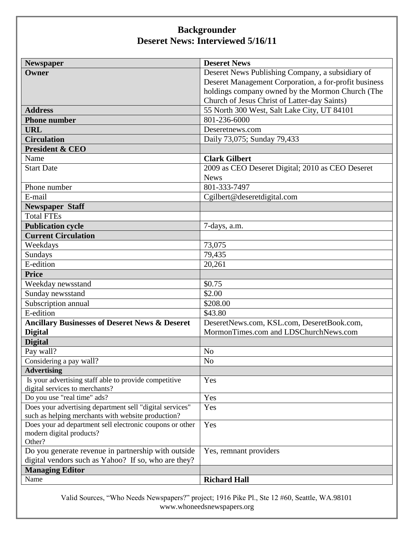## **Backgrounder Deseret News: Interviewed 5/16/11**

| <b>Newspaper</b>                                          | <b>Deseret News</b>                                   |
|-----------------------------------------------------------|-------------------------------------------------------|
| Owner                                                     | Deseret News Publishing Company, a subsidiary of      |
|                                                           | Deseret Management Corporation, a for-profit business |
|                                                           | holdings company owned by the Mormon Church (The      |
|                                                           | Church of Jesus Christ of Latter-day Saints)          |
| <b>Address</b>                                            | 55 North 300 West, Salt Lake City, UT 84101           |
| <b>Phone number</b>                                       | 801-236-6000                                          |
| <b>URL</b>                                                | Deseretnews.com                                       |
| <b>Circulation</b>                                        | Daily 73,075; Sunday 79,433                           |
| <b>President &amp; CEO</b>                                |                                                       |
| Name                                                      | <b>Clark Gilbert</b>                                  |
| <b>Start Date</b>                                         | 2009 as CEO Deseret Digital; 2010 as CEO Deseret      |
|                                                           | <b>News</b>                                           |
| Phone number                                              | 801-333-7497                                          |
| E-mail                                                    | Cgilbert@deseretdigital.com                           |
| <b>Newspaper Staff</b>                                    |                                                       |
| <b>Total FTEs</b>                                         |                                                       |
| <b>Publication cycle</b>                                  | 7-days, a.m.                                          |
| <b>Current Circulation</b>                                |                                                       |
| Weekdays                                                  | 73,075                                                |
| Sundays                                                   | 79,435                                                |
| E-edition                                                 | 20,261                                                |
| <b>Price</b>                                              |                                                       |
| Weekday newsstand                                         | \$0.75                                                |
| Sunday newsstand                                          | \$2.00                                                |
| Subscription annual                                       | \$208.00                                              |
| E-edition                                                 | \$43.80                                               |
| <b>Ancillary Businesses of Deseret News &amp; Deseret</b> | DeseretNews.com, KSL.com, DeseretBook.com,            |
| <b>Digital</b>                                            | MormonTimes.com and LDSChurchNews.com                 |
| <b>Digital</b>                                            |                                                       |
| Pay wall?                                                 | N <sub>o</sub>                                        |
| Considering a pay wall?                                   | N <sub>0</sub>                                        |
| <b>Advertising</b>                                        |                                                       |
| Is your advertising staff able to provide competitive     | Yes                                                   |
| digital services to merchants?                            |                                                       |
| Do you use "real time" ads?                               | Yes                                                   |
| Does your advertising department sell "digital services"  | Yes                                                   |
| such as helping merchants with website production?        |                                                       |
| Does your ad department sell electronic coupons or other  | Yes                                                   |
| modern digital products?<br>Other?                        |                                                       |
| Do you generate revenue in partnership with outside       | Yes, remnant providers                                |
| digital vendors such as Yahoo? If so, who are they?       |                                                       |
| <b>Managing Editor</b>                                    |                                                       |
| Name                                                      | <b>Richard Hall</b>                                   |
|                                                           |                                                       |

Valid Sources, "Who Needs Newspapers?" project; 1916 Pike Pl., Ste 12 #60, Seattle, WA.98101 www.whoneedsnewspapers.org